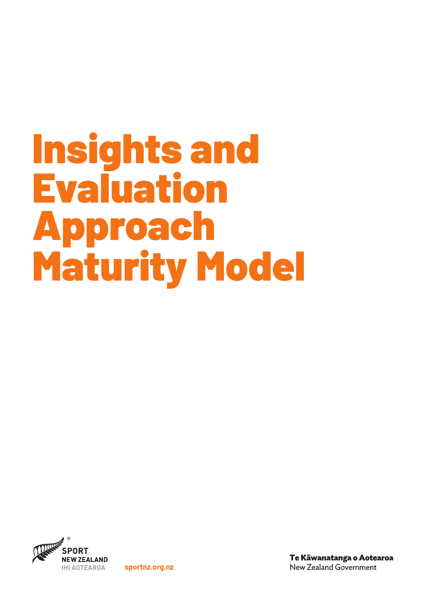# Insights and Evaluation Approach Maturity Model



**sportnz.org.nz**

Te Kāwanatanga o Aotearoa New Zealand Government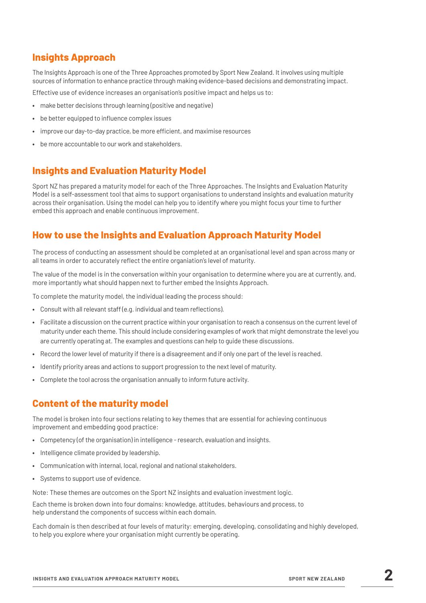## **Insights Approach**

The Insights Approach is one of the Three Approaches promoted by Sport New Zealand. It involves using multiple sources of information to enhance practice through making evidence-based decisions and demonstrating impact.

Effective use of evidence increases an organisation's positive impact and helps us to:

- **•** make better decisions through learning (positive and negative)
- **•** be better equipped to influence complex issues
- **•** improve our day-to-day practice, be more efficient, and maximise resources
- **•** be more accountable to our work and stakeholders.

## **Insights and Evaluation Maturity Model**

Sport NZ has prepared a maturity model for each of the Three Approaches. The Insights and Evaluation Maturity Model is a self-assessment tool that aims to support organisations to understand insights and evaluation maturity across their organisation. Using the model can help you to identify where you might focus your time to further embed this approach and enable continuous improvement.

## **How to use the Insights and Evaluation Approach Maturity Model**

The process of conducting an assessment should be completed at an organisational level and span across many or all teams in order to accurately reflect the entire organiation's level of maturity.

The value of the model is in the conversation within your organisation to determine where you are at currently, and, more importantly what should happen next to further embed the Insights Approach.

To complete the maturity model, the individual leading the process should:

- **•** Consult with all relevant staff (e.g. individual and team reflections).
- **•** Facilitate a discussion on the current practice within your organisation to reach a consensus on the current level of maturity under each theme. This should include considering examples of work that might demonstrate the level you are currently operating at. The examples and questions can help to guide these discussions.
- **•** Record the lower level of maturity if there is a disagreement and if only one part of the level is reached.
- **•** Identify priority areas and actions to support progression to the next level of maturity.
- **•** Complete the tool across the organisation annually to inform future activity.

### **Content of the maturity model**

The model is broken into four sections relating to key themes that are essential for achieving continuous improvement and embedding good practice:

- **•** Competency (of the organisation) in intelligence research, evaluation and insights.
- **•** Intelligence climate provided by leadership.
- **•** Communication with internal, local, regional and national stakeholders.
- **•** Systems to support use of evidence.

Note: These themes are outcomes on the Sport NZ insights and evaluation investment logic.

Each theme is broken down into four domains: knowledge, attitudes, behaviours and process, to help understand the components of success within each domain.

Each domain is then described at four levels of maturity: emerging, developing, consolidating and highly developed, to help you explore where your organisation might currently be operating.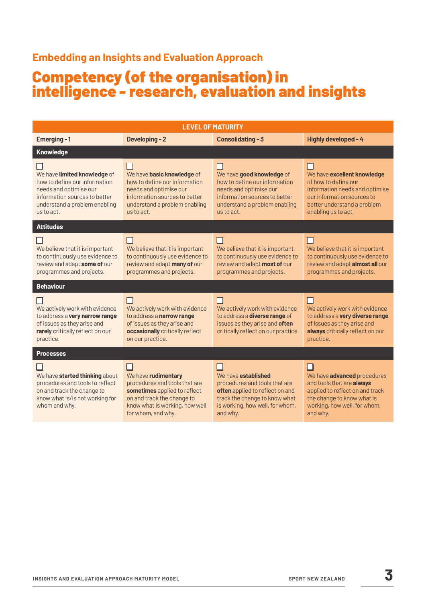## **Embedding an Insights and Evaluation Approach**

# Competency (of the organisation) in intelligence - research, evaluation and insights

| <b>LEVEL OF MATURITY</b>                                                                                                                                                |                                                                                                                                                                                       |                                                                                                                                                                                |                                                                                                                                                                                   |  |
|-------------------------------------------------------------------------------------------------------------------------------------------------------------------------|---------------------------------------------------------------------------------------------------------------------------------------------------------------------------------------|--------------------------------------------------------------------------------------------------------------------------------------------------------------------------------|-----------------------------------------------------------------------------------------------------------------------------------------------------------------------------------|--|
| Emerging - 1                                                                                                                                                            | <b>Developing - 2</b>                                                                                                                                                                 | <b>Consolidating - 3</b>                                                                                                                                                       | Highly developed - 4                                                                                                                                                              |  |
| <b>Knowledge</b>                                                                                                                                                        |                                                                                                                                                                                       |                                                                                                                                                                                |                                                                                                                                                                                   |  |
| We have limited knowledge of<br>how to define our information<br>needs and optimise our<br>information sources to better<br>understand a problem enabling<br>us to act. | ΙI<br>We have basic knowledge of<br>how to define our information<br>needs and optimise our<br>information sources to better<br>understand a problem enabling<br>us to act.           | ΙI<br>We have good knowledge of<br>how to define our information<br>needs and optimise our<br>information sources to better<br>understand a problem enabling<br>us to act.     | We have excellent knowledge<br>of how to define our<br>information needs and optimise<br>our information sources to<br>better understand a problem<br>enabling us to act.         |  |
| <b>Attitudes</b>                                                                                                                                                        |                                                                                                                                                                                       |                                                                                                                                                                                |                                                                                                                                                                                   |  |
| We believe that it is important<br>to continuously use evidence to<br>review and adapt some of our<br>programmes and projects.                                          | We believe that it is important<br>to continuously use evidence to<br>review and adapt many of our<br>programmes and projects.                                                        | We believe that it is important<br>to continuously use evidence to<br>review and adapt most of our<br>programmes and projects.                                                 | H<br>We believe that it is important<br>to continuously use evidence to<br>review and adapt almost all our<br>programmes and projects.                                            |  |
| <b>Behaviour</b>                                                                                                                                                        |                                                                                                                                                                                       |                                                                                                                                                                                |                                                                                                                                                                                   |  |
| We actively work with evidence<br>to address a very narrow range<br>of issues as they arise and<br>rarely critically reflect on our<br>practice.                        | We actively work with evidence<br>to address a narrow range<br>of issues as they arise and<br>occasionally critically reflect<br>on our practice.                                     | П<br>We actively work with evidence<br>to address a <b>diverse range</b> of<br>issues as they arise and often<br>critically reflect on our practice.                           | П<br>We actively work with evidence<br>to address a very diverse range<br>of issues as they arise and<br>always critically reflect on our<br>practice.                            |  |
| <b>Processes</b>                                                                                                                                                        |                                                                                                                                                                                       |                                                                                                                                                                                |                                                                                                                                                                                   |  |
| We have started thinking about<br>procedures and tools to reflect<br>on and track the change to<br>know what is/is not working for<br>whom and why.                     | $\Box$<br>We have rudimentary<br>procedures and tools that are<br>sometimes applied to reflect<br>on and track the change to<br>know what is working, how well,<br>for whom, and why. | We have <b>established</b><br>procedures and tools that are<br>often applied to reflect on and<br>track the change to know what<br>is working, how well, for whom,<br>and why. | П<br>We have <b>advanced</b> procedures<br>and tools that are always<br>applied to reflect on and track<br>the change to know what is<br>working, how well, for whom,<br>and why. |  |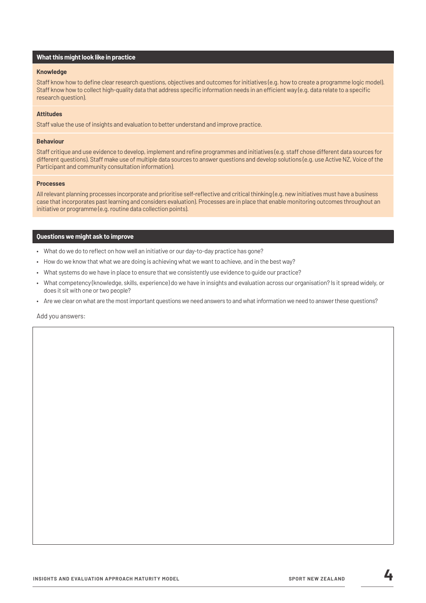#### **Knowledge**

Staff know how to define clear research questions, objectives and outcomes for initiatives (e.g. how to create a programme logic model). Staff know how to collect high-quality data that address specific information needs in an efficient way (e.g. data relate to a specific research question).

#### **Attitudes**

Staff value the use of insights and evaluation to better understand and improve practice.

#### **Behaviour**

Staff critique and use evidence to develop, implement and refine programmes and initiatives (e.g. staff chose different data sources for different questions). Staff make use of multiple data sources to answer questions and develop solutions (e.g. use Active NZ, Voice of the Participant and community consultation information).

#### **Processes**

All relevant planning processes incorporate and prioritise self-reflective and critical thinking (e.g. new initiatives must have a business case that incorporates past learning and considers evaluation). Processes are in place that enable monitoring outcomes throughout an initiative or programme (e.g. routine data collection points).

#### **Questions we might ask to improve**

- What do we do to reflect on how well an initiative or our day-to-day practice has gone?
- How do we know that what we are doing is achieving what we want to achieve, and in the best way?
- What systems do we have in place to ensure that we consistently use evidence to guide our practice?
- What competency (knowledge, skills, experience) do we have in insights and evaluation across our organisation? Is it spread widely, or does it sit with one or two people?
- Are we clear on what are the most important questions we need answers to and what information we need to answer these questions?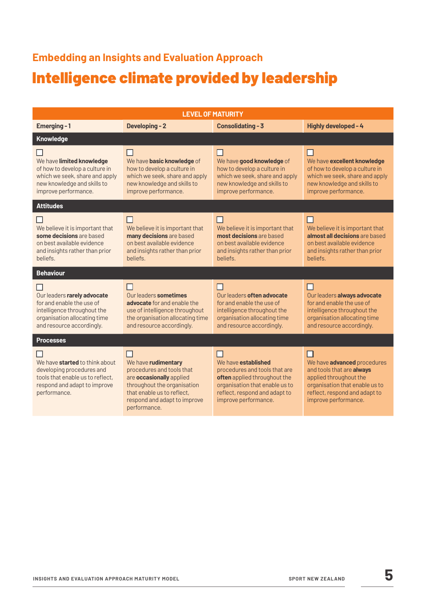# Intelligence climate provided by leadership **Embedding an Insights and Evaluation Approach**

| <b>LEVEL OF MATURITY</b>                                                                                                                               |                                                                                                                                                                                                |                                                                                                                                                                                 |                                                                                                                                                                                      |  |
|--------------------------------------------------------------------------------------------------------------------------------------------------------|------------------------------------------------------------------------------------------------------------------------------------------------------------------------------------------------|---------------------------------------------------------------------------------------------------------------------------------------------------------------------------------|--------------------------------------------------------------------------------------------------------------------------------------------------------------------------------------|--|
| Emerging-1                                                                                                                                             | <b>Developing-2</b>                                                                                                                                                                            | <b>Consolidating - 3</b>                                                                                                                                                        | Highly developed - 4                                                                                                                                                                 |  |
| Knowledge                                                                                                                                              |                                                                                                                                                                                                |                                                                                                                                                                                 |                                                                                                                                                                                      |  |
| We have limited knowledge<br>of how to develop a culture in<br>which we seek, share and apply<br>new knowledge and skills to<br>improve performance.   | We have basic knowledge of<br>how to develop a culture in<br>which we seek, share and apply<br>new knowledge and skills to<br>improve performance.                                             | П<br>We have good knowledge of<br>how to develop a culture in<br>which we seek, share and apply<br>new knowledge and skills to<br>improve performance.                          | We have excellent knowledge<br>of how to develop a culture in<br>which we seek, share and apply<br>new knowledge and skills to<br>improve performance.                               |  |
| <b>Attitudes</b>                                                                                                                                       |                                                                                                                                                                                                |                                                                                                                                                                                 |                                                                                                                                                                                      |  |
| We believe it is important that<br>some decisions are based<br>on best available evidence<br>and insights rather than prior<br>beliefs.                | We believe it is important that<br>many decisions are based<br>on best available evidence<br>and insights rather than prior<br>beliefs.                                                        | We believe it is important that<br>most decisions are based<br>on best available evidence<br>and insights rather than prior<br>beliefs.                                         | We believe it is important that<br>almost all decisions are based<br>on best available evidence<br>and insights rather than prior<br>heliefs.                                        |  |
| <b>Behaviour</b>                                                                                                                                       |                                                                                                                                                                                                |                                                                                                                                                                                 |                                                                                                                                                                                      |  |
| Our leaders rarely advocate<br>for and enable the use of<br>intelligence throughout the<br>organisation allocating time<br>and resource accordingly.   | Our leaders sometimes<br>advocate for and enable the<br>use of intelligence throughout<br>the organisation allocating time<br>and resource accordingly.                                        | ΙI<br>Our leaders often advocate<br>for and enable the use of<br>intelligence throughout the<br>organisation allocating time<br>and resource accordingly.                       | H<br>Our leaders always advocate<br>for and enable the use of<br>intelligence throughout the<br>organisation allocating time<br>and resource accordingly.                            |  |
| <b>Processes</b>                                                                                                                                       |                                                                                                                                                                                                |                                                                                                                                                                                 |                                                                                                                                                                                      |  |
| We have <b>started</b> to think about<br>developing procedures and<br>tools that enable us to reflect.<br>respond and adapt to improve<br>performance. | П<br>We have rudimentary<br>procedures and tools that<br>are occasionally applied<br>throughout the organisation<br>that enable us to reflect.<br>respond and adapt to improve<br>performance. | We have established<br>procedures and tools that are<br>often applied throughout the<br>organisation that enable us to<br>reflect, respond and adapt to<br>improve performance. | We have <b>advanced</b> procedures<br>and tools that are always<br>applied throughout the<br>organisation that enable us to<br>reflect, respond and adapt to<br>improve performance. |  |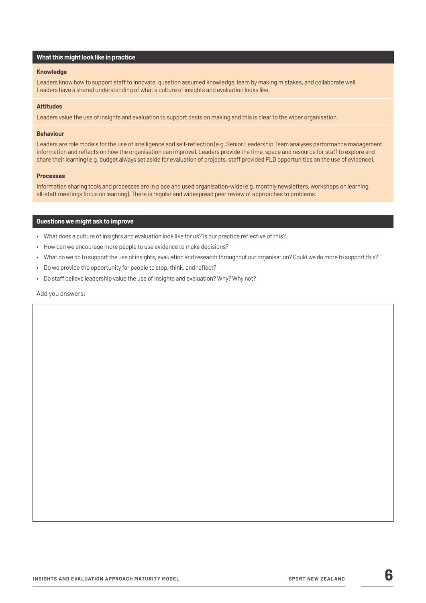#### **Knowledge**

Leaders know how to support staff to innovate, question assumed knowledge, learn by making mistakes, and collaborate well. Leaders have a shared understanding of what a culture of insights and evaluation looks like.

#### **Attitudes**

Leaders value the use of insights and evaluation to support decision making and this is clear to the wider organisation.

#### **Behaviour**

Leaders are role models for the use of intelligence and self-reflection (e.g. Senior Leadership Team analyses performance management information and reflects on how the organisation can improve). Leaders provide the time, space and resource for staff to explore and share their learning (e.g. budget always set aside for evaluation of projects, staff provided PLD opportunities on the use of evidence).

#### **Processes**

Information sharing tools and processes are in place and used organisation-wide (e.g. monthly newsletters, workshops on learning, all-staff meetings focus on learning). There is regular and widespread peer review of approaches to problems.

#### **Questions we might ask to improve**

- What does a culture of insights and evaluation look like for us? Is our practice reflective of this?
- How can we encourage more people to use evidence to make decisions?
- What do we do to support the use of insights, evaluation and research throughout our organisation? Could we do more to support this?
- Do we provide the opportunity for people to stop, think, and reflect?
- Do staff believe leadership value the use of insights and evaluation? Why? Why not?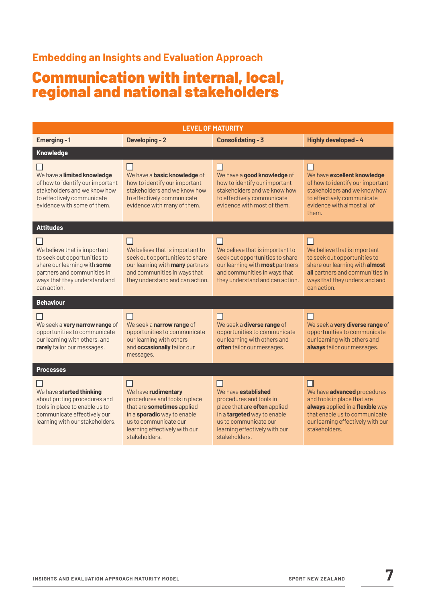## **Embedding an Insights and Evaluation Approach**

## Communication with internal, local, regional and national stakeholders

| <b>LEVEL OF MATURITY</b>                                                                                                                                                    |                                                                                                                                                                                              |                                                                                                                                                                                                 |                                                                                                                                                                                              |  |  |
|-----------------------------------------------------------------------------------------------------------------------------------------------------------------------------|----------------------------------------------------------------------------------------------------------------------------------------------------------------------------------------------|-------------------------------------------------------------------------------------------------------------------------------------------------------------------------------------------------|----------------------------------------------------------------------------------------------------------------------------------------------------------------------------------------------|--|--|
| Emerging-1                                                                                                                                                                  | <b>Developing-2</b>                                                                                                                                                                          | <b>Consolidating - 3</b>                                                                                                                                                                        | Highly developed - 4                                                                                                                                                                         |  |  |
| <b>Knowledge</b>                                                                                                                                                            |                                                                                                                                                                                              |                                                                                                                                                                                                 |                                                                                                                                                                                              |  |  |
| We have a limited knowledge<br>of how to identify our important<br>stakeholders and we know how<br>to effectively communicate<br>evidence with some of them.                | ப<br>We have a <b>basic knowledge</b> of<br>how to identify our important<br>stakeholders and we know how<br>to effectively communicate<br>evidence with many of them.                       | ப<br>We have a good knowledge of<br>how to identify our important<br>stakeholders and we know how<br>to effectively communicate<br>evidence with most of them.                                  | H<br>We have excellent knowledge<br>of how to identify our important<br>stakeholders and we know how<br>to effectively communicate<br>evidence with almost all of<br>them.                   |  |  |
| <b>Attitudes</b>                                                                                                                                                            |                                                                                                                                                                                              |                                                                                                                                                                                                 |                                                                                                                                                                                              |  |  |
| We believe that is important<br>to seek out opportunities to<br>share our learning with some<br>partners and communities in<br>ways that they understand and<br>can action. | ΙI<br>We believe that is important to<br>seek out opportunities to share<br>our learning with <b>many</b> partners<br>and communities in ways that<br>they understand and can action.        | We believe that is important to<br>seek out opportunities to share<br>our learning with most partners<br>and communities in ways that<br>they understand and can action.                        | - 1<br>We believe that is important<br>to seek out opportunities to<br>share our learning with almost<br>all partners and communities in<br>ways that they understand and<br>can action.     |  |  |
| <b>Behaviour</b>                                                                                                                                                            |                                                                                                                                                                                              |                                                                                                                                                                                                 |                                                                                                                                                                                              |  |  |
| We seek a very narrow range of<br>opportunities to communicate<br>our learning with others, and<br>rarely tailor our messages.                                              | We seek a narrow range of<br>opportunities to communicate<br>our learning with others<br>and occasionally tailor our<br>messages.                                                            | H<br>We seek a <b>diverse range</b> of<br>opportunities to communicate<br>our learning with others and<br>often tailor our messages.                                                            | - 1<br>We seek a very diverse range of<br>opportunities to communicate<br>our learning with others and<br>always tailor our messages.                                                        |  |  |
| <b>Processes</b>                                                                                                                                                            |                                                                                                                                                                                              |                                                                                                                                                                                                 |                                                                                                                                                                                              |  |  |
| We have started thinking<br>about putting procedures and<br>tools in place to enable us to<br>communicate effectively our<br>learning with our stakeholders.                | We have rudimentary<br>procedures and tools in place<br>that are sometimes applied<br>in a sporadic way to enable<br>us to communicate our<br>learning effectively with our<br>stakeholders. | We have established<br>procedures and tools in<br>place that are often applied<br>in a <b>targeted</b> way to enable<br>us to communicate our<br>learning effectively with our<br>stakeholders. | We have <b>advanced</b> procedures<br>and tools in place that are<br>always applied in a flexible way<br>that enable us to communicate<br>our learning effectively with our<br>stakeholders. |  |  |
|                                                                                                                                                                             |                                                                                                                                                                                              |                                                                                                                                                                                                 |                                                                                                                                                                                              |  |  |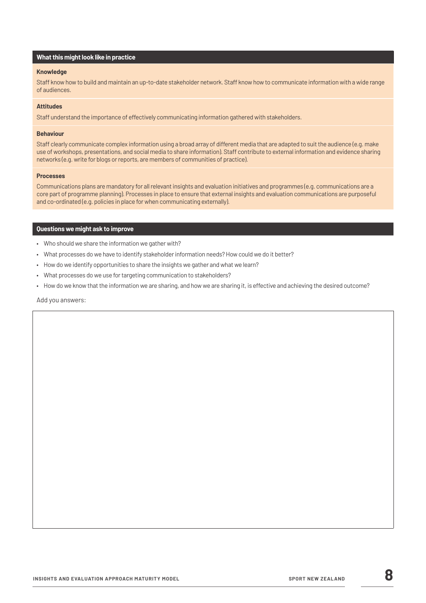#### **Knowledge**

Staff know how to build and maintain an up-to-date stakeholder network. Staff know how to communicate information with a wide range of audiences.

#### **Attitudes**

Staff understand the importance of effectively communicating information gathered with stakeholders.

#### **Behaviour**

Staff clearly communicate complex information using a broad array of different media that are adapted to suit the audience (e.g. make use of workshops, presentations, and social media to share information). Staff contribute to external information and evidence sharing networks (e.g. write for blogs or reports, are members of communities of practice).

#### **Processes**

Communications plans are mandatory for all relevant insights and evaluation initiatives and programmes (e.g. communications are a core part of programme planning). Processes in place to ensure that external insights and evaluation communications are purposeful and co-ordinated (e.g. policies in place for when communicating externally).

#### **Questions we might ask to improve**

- Who should we share the information we gather with?
- What processes do we have to identify stakeholder information needs? How could we do it better?
- How do we identify opportunities to share the insights we gather and what we learn?
- What processes do we use for targeting communication to stakeholders?
- How do we know that the information we are sharing, and how we are sharing it, is effective and achieving the desired outcome?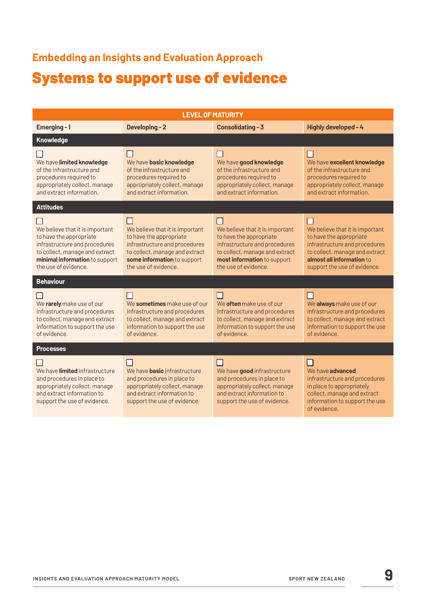# Systems to support use of evidence **Embedding an Insights and Evaluation Approach**

| <b>LEVEL OF MATURITY</b>                                                                                                                                                                |                                                                                                                                                                                      |                                                                                                                                                                                      |                                                                                                                                                                                            |  |  |
|-----------------------------------------------------------------------------------------------------------------------------------------------------------------------------------------|--------------------------------------------------------------------------------------------------------------------------------------------------------------------------------------|--------------------------------------------------------------------------------------------------------------------------------------------------------------------------------------|--------------------------------------------------------------------------------------------------------------------------------------------------------------------------------------------|--|--|
| Emerging-1                                                                                                                                                                              | <b>Developing-2</b>                                                                                                                                                                  | <b>Consolidating - 3</b>                                                                                                                                                             | Highly developed - 4                                                                                                                                                                       |  |  |
| Knowledge                                                                                                                                                                               |                                                                                                                                                                                      |                                                                                                                                                                                      |                                                                                                                                                                                            |  |  |
| We have limited knowledge<br>of the infrastructure and<br>procedures required to<br>appropriately collect, manage<br>and extract information.                                           | We have basic knowledge<br>of the infrastructure and<br>procedures required to<br>appropriately collect, manage<br>and extract information.                                          | We have good knowledge<br>of the infrastructure and<br>procedures required to<br>appropriately collect, manage<br>and extract information.                                           | $\mathsf{L}$<br>We have excellent knowledge<br>of the infrastructure and<br>procedures required to<br>appropriately collect, manage<br>and extract information.                            |  |  |
| <b>Attitudes</b>                                                                                                                                                                        |                                                                                                                                                                                      |                                                                                                                                                                                      |                                                                                                                                                                                            |  |  |
| We believe that it is important<br>to have the appropriate<br>infrastructure and procedures<br>to collect, manage and extract<br>minimal information to support<br>the use of evidence. | We believe that it is important<br>to have the appropriate<br>infrastructure and procedures<br>to collect, manage and extract<br>some information to support<br>the use of evidence. | We believe that it is important<br>to have the appropriate<br>infrastructure and procedures<br>to collect, manage and extract<br>most information to support<br>the use of evidence. | We believe that it is important<br>to have the appropriate<br>infrastructure and procedures<br>to collect, manage and extract<br>almost all information to<br>support the use of evidence. |  |  |
| <b>Behaviour</b>                                                                                                                                                                        |                                                                                                                                                                                      |                                                                                                                                                                                      |                                                                                                                                                                                            |  |  |
| We rarely make use of our<br>infrastructure and procedures<br>to collect, manage and extract<br>information to support the use<br>of evidence.                                          | We sometimes make use of our<br>infrastructure and procedures<br>to collect, manage and extract<br>information to support the use<br>of evidence.                                    | We often make use of our<br>infrastructure and procedures<br>to collect, manage and extract<br>information to support the use<br>of evidence.                                        | П<br>We always make use of our<br>infrastructure and procedures<br>to collect, manage and extract<br>information to support the use<br>of evidence.                                        |  |  |
| <b>Processes</b>                                                                                                                                                                        |                                                                                                                                                                                      |                                                                                                                                                                                      |                                                                                                                                                                                            |  |  |
| We have <i>limited</i> infrastructure<br>and procedures in place to<br>appropriately collect, manage<br>and extract information to<br>support the use of evidence.                      | We have <b>basic</b> infrastructure<br>and procedures in place to<br>appropriately collect, manage<br>and extract information to<br>support the use of evidence.                     | We have good infrastructure<br>and procedures in place to<br>appropriately collect, manage<br>and extract information to<br>support the use of evidence.                             | П<br>We have <b>advanced</b><br>infrastructure and procedures<br>in place to appropriately<br>collect, manage and extract<br>information to support the use<br>of evidence.                |  |  |